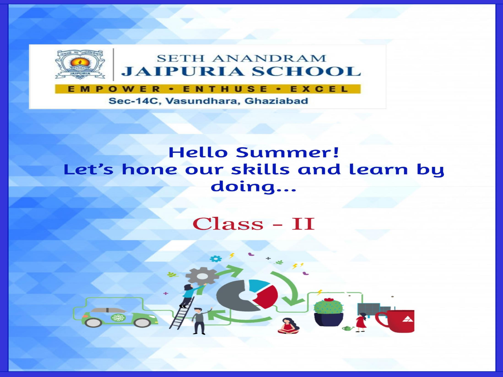

#### Sec-14C, Vasundhara, Ghaziabad

## **Hello Summer!** Let's hone our skills and learn by doing...

## **Class - II**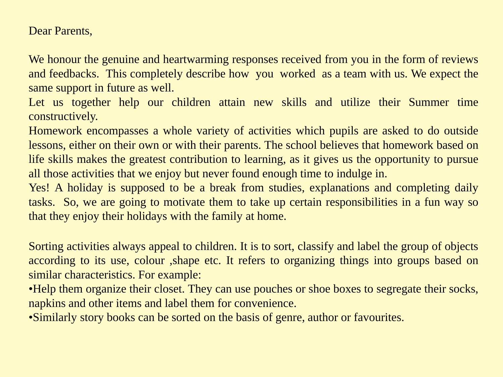Dear Parents,

We honour the genuine and heartwarming responses received from you in the form of reviews and feedbacks. This completely describe how you worked as a team with us. We expect the same support in future as well.

Let us together help our children attain new skills and utilize their Summer time constructively.

Homework encompasses a whole variety of activities which pupils are asked to do outside lessons, either on their own or with their parents. The school believes that homework based on life skills makes the greatest contribution to learning, as it gives us the opportunity to pursue all those activities that we enjoy but never found enough time to indulge in.

Yes! A holiday is supposed to be a break from studies, explanations and completing daily tasks. So, we are going to motivate them to take up certain responsibilities in a fun way so that they enjoy their holidays with the family at home.

Sorting activities always appeal to children. It is to sort, classify and label the group of objects according to its use, colour ,shape etc. It refers to organizing things into groups based on similar characteristics. For example:

•Help them organize their closet. They can use pouches or shoe boxes to segregate their socks, napkins and other items and label them for convenience.

•Similarly story books can be sorted on the basis of genre, author or favourites.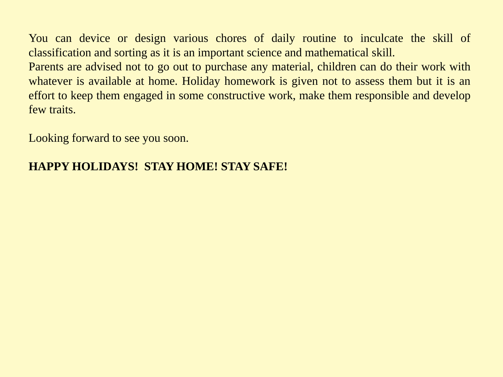You can device or design various chores of daily routine to inculcate the skill of classification and sorting as it is an important science and mathematical skill.

Parents are advised not to go out to purchase any material, children can do their work with whatever is available at home. Holiday homework is given not to assess them but it is an effort to keep them engaged in some constructive work, make them responsible and develop few traits.

Looking forward to see you soon.

#### **HAPPY HOLIDAYS! STAY HOME! STAY SAFE!**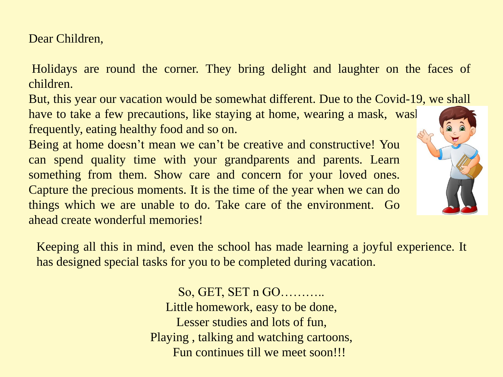Dear Children,

Holidays are round the corner. They bring delight and laughter on the faces of children.

But, this year our vacation would be somewhat different. Due to the Covid-19, we shall

have to take a few precautions, like staying at home, wearing a mask, washing hands frequently, eating healthy food and so on.

Being at home doesn't mean we can't be creative and constructive! You can spend quality time with your grandparents and parents. Learn something from them. Show care and concern for your loved ones. Capture the precious moments. It is the time of the year when we can do things which we are unable to do. Take care of the environment. Go ahead create wonderful memories!

Keeping all this in mind, even the school has made learning a joyful experience. It has designed special tasks for you to be completed during vacation.

> So, GET, SET n GO……….. Little homework, easy to be done, Lesser studies and lots of fun, Playing , talking and watching cartoons, Fun continues till we meet soon!!!

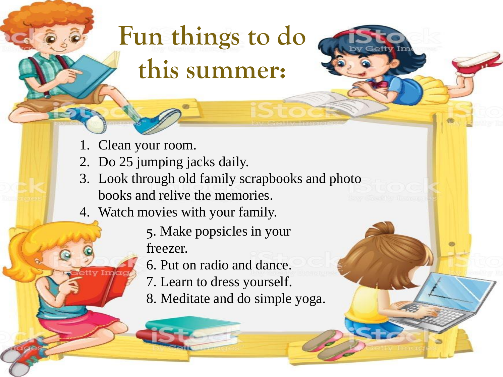## **Fun things to do this summer:**

- 1. Clean your room.
- 2. Do 25 jumping jacks daily.
- 3. Look through old family scrapbooks and photo books and relive the memories.
- 4. Watch movies with your family.
	- 5. Make popsicles in your freezer.
	- 6. Put on radio and dance.
	- 7. Learn to dress yourself.
	- 8. Meditate and do simple yoga.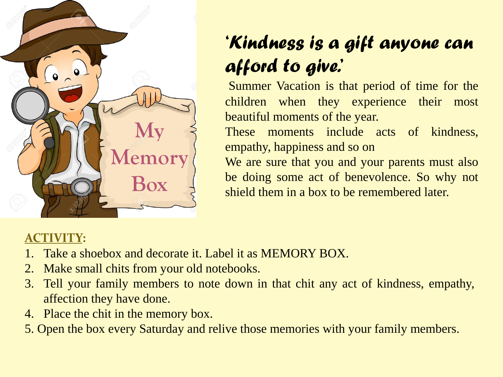

## *'Kindness is a gift anyone can afford to give.'*

Summer Vacation is that period of time for the children when they experience their most beautiful moments of the year.

These moments include acts of kindness, empathy, happiness and so on

We are sure that you and your parents must also be doing some act of benevolence. So why not shield them in a box to be remembered later.

## **ACTIVITY:**

- 1. Take a shoebox and decorate it. Label it as MEMORY BOX.
- 2. Make small chits from your old notebooks.
- 3. Tell your family members to note down in that chit any act of kindness, empathy, affection they have done.
- 4. Place the chit in the memory box.
- 5. Open the box every Saturday and relive those memories with your family members.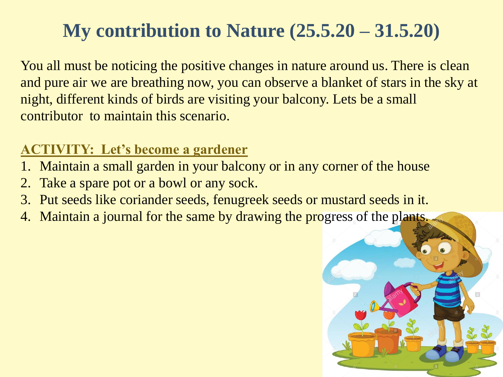## **My contribution to Nature (25.5.20 – 31.5.20)**

You all must be noticing the positive changes in nature around us. There is clean and pure air we are breathing now, you can observe a blanket of stars in the sky at night, different kinds of birds are visiting your balcony. Lets be a small contributor to maintain this scenario.

## **ACTIVITY: Let's become a gardener**

- 1. Maintain a small garden in your balcony or in any corner of the house
- 2. Take a spare pot or a bowl or any sock.
- 3. Put seeds like coriander seeds, fenugreek seeds or mustard seeds in it.
- 4. Maintain a journal for the same by drawing the progress of the plants.

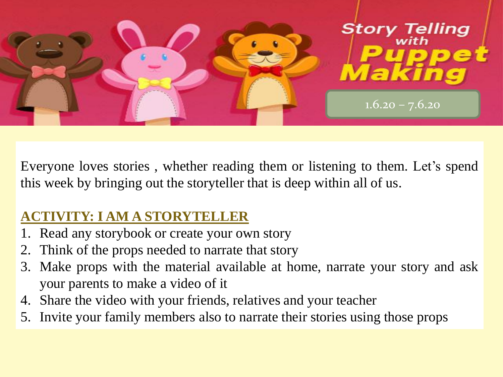

Everyone loves stories , whether reading them or listening to them. Let's spend this week by bringing out the storyteller that is deep within all of us.

## **ACTIVITY: I AM A STORYTELLER**

- 1. Read any storybook or create your own story
- 2. Think of the props needed to narrate that story
- 3. Make props with the material available at home, narrate your story and ask your parents to make a video of it
- 4. Share the video with your friends, relatives and your teacher
- 5. Invite your family members also to narrate their stories using those props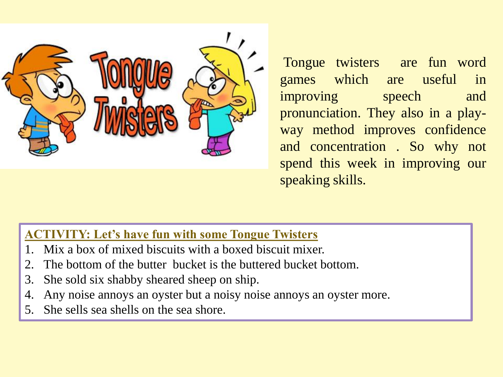

Tongue twisters are fun word games which are useful in improving speech and pronunciation. They also in a playway method improves confidence and concentration . So why not spend this week in improving our speaking skills.

### **ACTIVITY: Let's have fun with some Tongue Twisters**

- Mix a box of mixed biscuits with a boxed biscuit mixer.
- 2. The bottom of the butter bucket is the buttered bucket bottom.
- 3. She sold six shabby sheared sheep on ship.
- 4. Any noise annoys an oyster but a noisy noise annoys an oyster more.
- 5. She sells sea shells on the sea shore.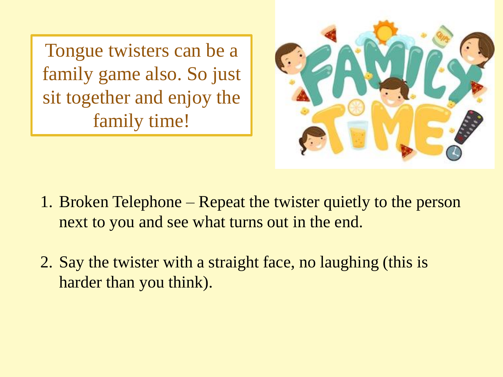Tongue twisters can be a family game also. So just sit together and enjoy the family time!



- 1. Broken Telephone Repeat the twister quietly to the person next to you and see what turns out in the end.
- 2. Say the twister with a straight face, no laughing (this is harder than you think).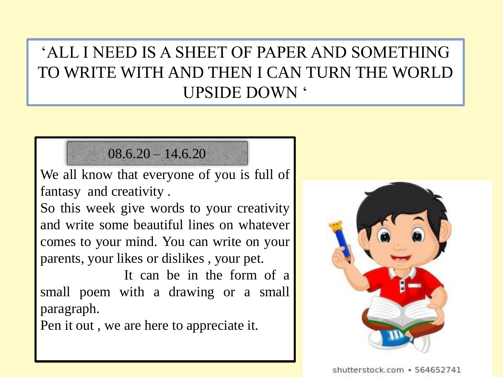## 'ALL I NEED IS A SHEET OF PAPER AND SOMETHING TO WRITE WITH AND THEN I CAN TURN THE WORLD UPSIDE DOWN '

## $08.6.20 - 14.6.20$

We all know that everyone of you is full of fantasy and creativity .

So this week give words to your creativity and write some beautiful lines on whatever comes to your mind. You can write on your parents, your likes or dislikes , your pet.

It can be in the form of a small poem with a drawing or a small paragraph.

Pen it out , we are here to appreciate it.